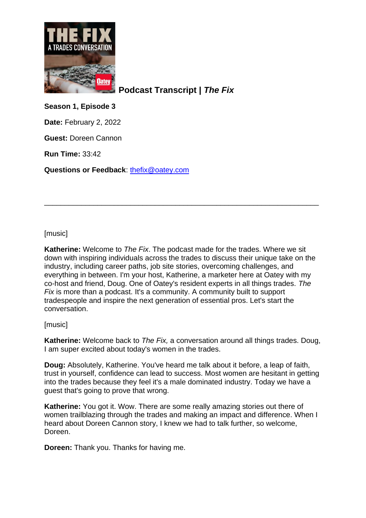

**Podcast Transcript |** *The Fix*

**Season 1, Episode 3**

**Date:** February 2, 2022

**Guest:** Doreen Cannon

**Run Time:** 33:42

**Questions or Feedback**: [thefix@oatey.com](mailto:thefix@oatey.com)

[music]

**Katherine:** Welcome to *The Fix*. The podcast made for the trades. Where we sit down with inspiring individuals across the trades to discuss their unique take on the industry, including career paths, job site stories, overcoming challenges, and everything in between. I'm your host, Katherine, a marketer here at Oatey with my co-host and friend, Doug. One of Oatey's resident experts in all things trades. *The Fix* is more than a podcast. It's a community. A community built to support tradespeople and inspire the next generation of essential pros. Let's start the conversation.

\_\_\_\_\_\_\_\_\_\_\_\_\_\_\_\_\_\_\_\_\_\_\_\_\_\_\_\_\_\_\_\_\_\_\_\_\_\_\_\_\_\_\_\_\_\_\_\_\_\_\_\_\_\_\_\_\_\_\_\_\_\_\_\_\_\_\_

[music]

**Katherine:** Welcome back to *The Fix,* a conversation around all things trades. Doug, I am super excited about today's women in the trades.

**Doug:** Absolutely, Katherine. You've heard me talk about it before, a leap of faith, trust in yourself, confidence can lead to success. Most women are hesitant in getting into the trades because they feel it's a male dominated industry. Today we have a guest that's going to prove that wrong.

**Katherine:** You got it. Wow. There are some really amazing stories out there of women trailblazing through the trades and making an impact and difference. When I heard about Doreen Cannon story, I knew we had to talk further, so welcome, Doreen.

**Doreen:** Thank you. Thanks for having me.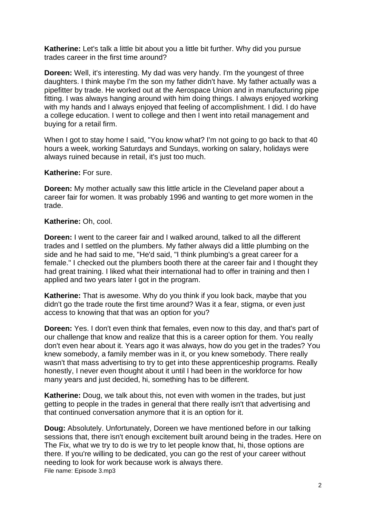**Katherine:** Let's talk a little bit about you a little bit further. Why did you pursue trades career in the first time around?

**Doreen:** Well, it's interesting. My dad was very handy. I'm the youngest of three daughters. I think maybe I'm the son my father didn't have. My father actually was a pipefitter by trade. He worked out at the Aerospace Union and in manufacturing pipe fitting. I was always hanging around with him doing things. I always enjoyed working with my hands and I always enjoyed that feeling of accomplishment. I did. I do have a college education. I went to college and then I went into retail management and buying for a retail firm.

When I got to stay home I said, "You know what? I'm not going to go back to that 40 hours a week, working Saturdays and Sundays, working on salary, holidays were always ruined because in retail, it's just too much.

**Katherine:** For sure.

**Doreen:** My mother actually saw this little article in the Cleveland paper about a career fair for women. It was probably 1996 and wanting to get more women in the trade.

**Katherine:** Oh, cool.

**Doreen:** I went to the career fair and I walked around, talked to all the different trades and I settled on the plumbers. My father always did a little plumbing on the side and he had said to me, "He'd said, "I think plumbing's a great career for a female." I checked out the plumbers booth there at the career fair and I thought they had great training. I liked what their international had to offer in training and then I applied and two years later I got in the program.

**Katherine:** That is awesome. Why do you think if you look back, maybe that you didn't go the trade route the first time around? Was it a fear, stigma, or even just access to knowing that that was an option for you?

**Doreen:** Yes. I don't even think that females, even now to this day, and that's part of our challenge that know and realize that this is a career option for them. You really don't even hear about it. Years ago it was always, how do you get in the trades? You knew somebody, a family member was in it, or you knew somebody. There really wasn't that mass advertising to try to get into these apprenticeship programs. Really honestly, I never even thought about it until I had been in the workforce for how many years and just decided, hi, something has to be different.

**Katherine:** Doug, we talk about this, not even with women in the trades, but just getting to people in the trades in general that there really isn't that advertising and that continued conversation anymore that it is an option for it.

File name: Episode 3.mp3 **Doug:** Absolutely. Unfortunately, Doreen we have mentioned before in our talking sessions that, there isn't enough excitement built around being in the trades. Here on The Fix, what we try to do is we try to let people know that, hi, those options are there. If you're willing to be dedicated, you can go the rest of your career without needing to look for work because work is always there.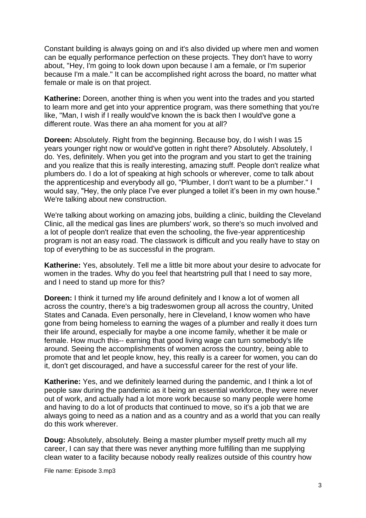Constant building is always going on and it's also divided up where men and women can be equally performance perfection on these projects. They don't have to worry about, "Hey, I'm going to look down upon because I am a female, or I'm superior because I'm a male." It can be accomplished right across the board, no matter what female or male is on that project.

**Katherine:** Doreen, another thing is when you went into the trades and you started to learn more and get into your apprentice program, was there something that you're like, "Man, I wish if I really would've known the is back then I would've gone a different route. Was there an aha moment for you at all?

**Doreen:** Absolutely. Right from the beginning. Because boy, do I wish I was 15 years younger right now or would've gotten in right there? Absolutely. Absolutely, I do. Yes, definitely. When you get into the program and you start to get the training and you realize that this is really interesting, amazing stuff. People don't realize what plumbers do. I do a lot of speaking at high schools or wherever, come to talk about the apprenticeship and everybody all go, "Plumber, I don't want to be a plumber." I would say, "Hey, the only place I've ever plunged a toilet it's been in my own house." We're talking about new construction.

We're talking about working on amazing jobs, building a clinic, building the Cleveland Clinic, all the medical gas lines are plumbers' work, so there's so much involved and a lot of people don't realize that even the schooling, the five-year apprenticeship program is not an easy road. The classwork is difficult and you really have to stay on top of everything to be as successful in the program.

**Katherine:** Yes, absolutely. Tell me a little bit more about your desire to advocate for women in the trades. Why do you feel that heartstring pull that I need to say more, and I need to stand up more for this?

**Doreen:** I think it turned my life around definitely and I know a lot of women all across the country, there's a big tradeswomen group all across the country, United States and Canada. Even personally, here in Cleveland, I know women who have gone from being homeless to earning the wages of a plumber and really it does turn their life around, especially for maybe a one income family, whether it be male or female. How much this-- earning that good living wage can turn somebody's life around. Seeing the accomplishments of women across the country, being able to promote that and let people know, hey, this really is a career for women, you can do it, don't get discouraged, and have a successful career for the rest of your life.

**Katherine:** Yes, and we definitely learned during the pandemic, and I think a lot of people saw during the pandemic as it being an essential workforce, they were never out of work, and actually had a lot more work because so many people were home and having to do a lot of products that continued to move, so it's a job that we are always going to need as a nation and as a country and as a world that you can really do this work wherever.

**Doug:** Absolutely, absolutely. Being a master plumber myself pretty much all my career, I can say that there was never anything more fulfilling than me supplying clean water to a facility because nobody really realizes outside of this country how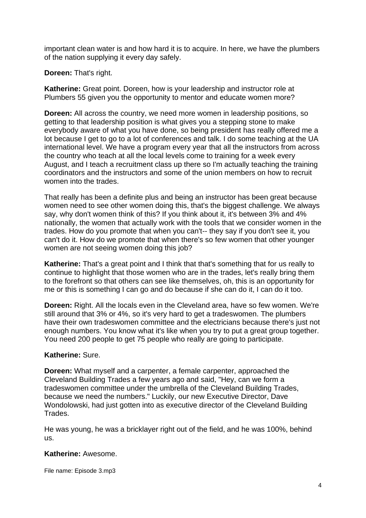important clean water is and how hard it is to acquire. In here, we have the plumbers of the nation supplying it every day safely.

## **Doreen:** That's right.

**Katherine:** Great point. Doreen, how is your leadership and instructor role at Plumbers 55 given you the opportunity to mentor and educate women more?

**Doreen:** All across the country, we need more women in leadership positions, so getting to that leadership position is what gives you a stepping stone to make everybody aware of what you have done, so being president has really offered me a lot because I get to go to a lot of conferences and talk. I do some teaching at the UA international level. We have a program every year that all the instructors from across the country who teach at all the local levels come to training for a week every August, and I teach a recruitment class up there so I'm actually teaching the training coordinators and the instructors and some of the union members on how to recruit women into the trades.

That really has been a definite plus and being an instructor has been great because women need to see other women doing this, that's the biggest challenge. We always say, why don't women think of this? If you think about it, it's between 3% and 4% nationally, the women that actually work with the tools that we consider women in the trades. How do you promote that when you can't-- they say if you don't see it, you can't do it. How do we promote that when there's so few women that other younger women are not seeing women doing this job?

**Katherine:** That's a great point and I think that that's something that for us really to continue to highlight that those women who are in the trades, let's really bring them to the forefront so that others can see like themselves, oh, this is an opportunity for me or this is something I can go and do because if she can do it, I can do it too.

**Doreen:** Right. All the locals even in the Cleveland area, have so few women. We're still around that 3% or 4%, so it's very hard to get a tradeswomen. The plumbers have their own tradeswomen committee and the electricians because there's just not enough numbers. You know what it's like when you try to put a great group together. You need 200 people to get 75 people who really are going to participate.

## **Katherine:** Sure.

**Doreen:** What myself and a carpenter, a female carpenter, approached the Cleveland Building Trades a few years ago and said, "Hey, can we form a tradeswomen committee under the umbrella of the Cleveland Building Trades, because we need the numbers." Luckily, our new Executive Director, Dave Wondolowski, had just gotten into as executive director of the Cleveland Building Trades.

He was young, he was a bricklayer right out of the field, and he was 100%, behind us.

#### **Katherine:** Awesome.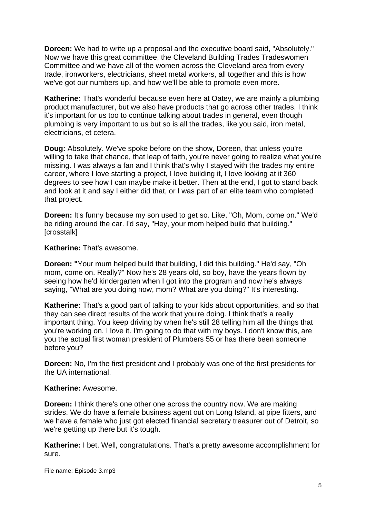**Doreen:** We had to write up a proposal and the executive board said, "Absolutely." Now we have this great committee, the Cleveland Building Trades Tradeswomen Committee and we have all of the women across the Cleveland area from every trade, ironworkers, electricians, sheet metal workers, all together and this is how we've got our numbers up, and how we'll be able to promote even more.

**Katherine:** That's wonderful because even here at Oatey, we are mainly a plumbing product manufacturer, but we also have products that go across other trades. I think it's important for us too to continue talking about trades in general, even though plumbing is very important to us but so is all the trades, like you said, iron metal, electricians, et cetera.

**Doug:** Absolutely. We've spoke before on the show, Doreen, that unless you're willing to take that chance, that leap of faith, you're never going to realize what you're missing. I was always a fan and I think that's why I stayed with the trades my entire career, where I love starting a project, I love building it, I love looking at it 360 degrees to see how I can maybe make it better. Then at the end, I got to stand back and look at it and say I either did that, or I was part of an elite team who completed that project.

**Doreen:** It's funny because my son used to get so. Like, "Oh, Mom, come on." We'd be riding around the car. I'd say, "Hey, your mom helped build that building." [crosstalk]

#### **Katherine:** That's awesome.

**Doreen: "**Your mum helped build that building, I did this building." He'd say, "Oh mom, come on. Really?" Now he's 28 years old, so boy, have the years flown by seeing how he'd kindergarten when I got into the program and now he's always saying, "What are you doing now, mom? What are you doing?" It's interesting.

**Katherine:** That's a good part of talking to your kids about opportunities, and so that they can see direct results of the work that you're doing. I think that's a really important thing. You keep driving by when he's still 28 telling him all the things that you're working on. I love it. I'm going to do that with my boys. I don't know this, are you the actual first woman president of Plumbers 55 or has there been someone before you?

**Doreen:** No, I'm the first president and I probably was one of the first presidents for the UA international.

#### **Katherine:** Awesome.

**Doreen:** I think there's one other one across the country now. We are making strides. We do have a female business agent out on Long Island, at pipe fitters, and we have a female who just got elected financial secretary treasurer out of Detroit, so we're getting up there but it's tough.

**Katherine:** I bet. Well, congratulations. That's a pretty awesome accomplishment for sure.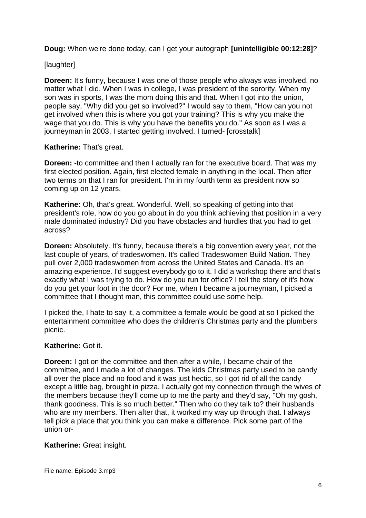**Doug:** When we're done today, can I get your autograph **[unintelligible 00:12:28]**?

[laughter]

**Doreen:** It's funny, because I was one of those people who always was involved, no matter what I did. When I was in college, I was president of the sorority. When my son was in sports, I was the mom doing this and that. When I got into the union, people say, "Why did you get so involved?" I would say to them, "How can you not get involved when this is where you got your training? This is why you make the wage that you do. This is why you have the benefits you do." As soon as I was a journeyman in 2003, I started getting involved. I turned- [crosstalk]

## **Katherine:** That's great.

**Doreen:** -to committee and then I actually ran for the executive board. That was my first elected position. Again, first elected female in anything in the local. Then after two terms on that I ran for president. I'm in my fourth term as president now so coming up on 12 years.

**Katherine:** Oh, that's great. Wonderful. Well, so speaking of getting into that president's role, how do you go about in do you think achieving that position in a very male dominated industry? Did you have obstacles and hurdles that you had to get across?

**Doreen:** Absolutely. It's funny, because there's a big convention every year, not the last couple of years, of tradeswomen. It's called Tradeswomen Build Nation. They pull over 2,000 tradeswomen from across the United States and Canada. It's an amazing experience. I'd suggest everybody go to it. I did a workshop there and that's exactly what I was trying to do. How do you run for office? I tell the story of it's how do you get your foot in the door? For me, when I became a journeyman, I picked a committee that I thought man, this committee could use some help.

I picked the, I hate to say it, a committee a female would be good at so I picked the entertainment committee who does the children's Christmas party and the plumbers picnic.

## **Katherine:** Got it.

**Doreen:** I got on the committee and then after a while, I became chair of the committee, and I made a lot of changes. The kids Christmas party used to be candy all over the place and no food and it was just hectic, so I got rid of all the candy except a little bag, brought in pizza. I actually got my connection through the wives of the members because they'll come up to me the party and they'd say, "Oh my gosh, thank goodness. This is so much better." Then who do they talk to? their husbands who are my members. Then after that, it worked my way up through that. I always tell pick a place that you think you can make a difference. Pick some part of the union or-

## **Katherine:** Great insight.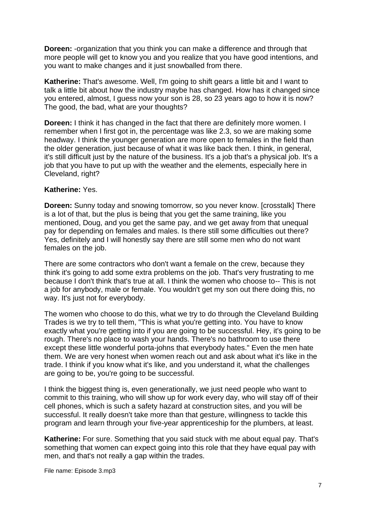**Doreen:** -organization that you think you can make a difference and through that more people will get to know you and you realize that you have good intentions, and you want to make changes and it just snowballed from there.

**Katherine:** That's awesome. Well, I'm going to shift gears a little bit and I want to talk a little bit about how the industry maybe has changed. How has it changed since you entered, almost, I guess now your son is 28, so 23 years ago to how it is now? The good, the bad, what are your thoughts?

**Doreen:** I think it has changed in the fact that there are definitely more women. I remember when I first got in, the percentage was like 2.3, so we are making some headway. I think the younger generation are more open to females in the field than the older generation, just because of what it was like back then. I think, in general, it's still difficult just by the nature of the business. It's a job that's a physical job. It's a job that you have to put up with the weather and the elements, especially here in Cleveland, right?

## **Katherine:** Yes.

**Doreen:** Sunny today and snowing tomorrow, so you never know. [crosstalk] There is a lot of that, but the plus is being that you get the same training, like you mentioned, Doug, and you get the same pay, and we get away from that unequal pay for depending on females and males. Is there still some difficulties out there? Yes, definitely and I will honestly say there are still some men who do not want females on the job.

There are some contractors who don't want a female on the crew, because they think it's going to add some extra problems on the job. That's very frustrating to me because I don't think that's true at all. I think the women who choose to-- This is not a job for anybody, male or female. You wouldn't get my son out there doing this, no way. It's just not for everybody.

The women who choose to do this, what we try to do through the Cleveland Building Trades is we try to tell them, "This is what you're getting into. You have to know exactly what you're getting into if you are going to be successful. Hey, it's going to be rough. There's no place to wash your hands. There's no bathroom to use there except these little wonderful porta-johns that everybody hates." Even the men hate them. We are very honest when women reach out and ask about what it's like in the trade. I think if you know what it's like, and you understand it, what the challenges are going to be, you're going to be successful.

I think the biggest thing is, even generationally, we just need people who want to commit to this training, who will show up for work every day, who will stay off of their cell phones, which is such a safety hazard at construction sites, and you will be successful. It really doesn't take more than that gesture, willingness to tackle this program and learn through your five-year apprenticeship for the plumbers, at least.

**Katherine:** For sure. Something that you said stuck with me about equal pay. That's something that women can expect going into this role that they have equal pay with men, and that's not really a gap within the trades.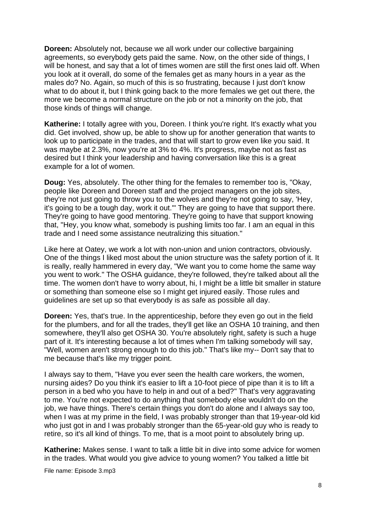**Doreen:** Absolutely not, because we all work under our collective bargaining agreements, so everybody gets paid the same. Now, on the other side of things, I will be honest, and say that a lot of times women are still the first ones laid off. When you look at it overall, do some of the females get as many hours in a year as the males do? No. Again, so much of this is so frustrating, because I just don't know what to do about it, but I think going back to the more females we get out there, the more we become a normal structure on the job or not a minority on the job, that those kinds of things will change.

**Katherine:** I totally agree with you, Doreen. I think you're right. It's exactly what you did. Get involved, show up, be able to show up for another generation that wants to look up to participate in the trades, and that will start to grow even like you said. It was maybe at 2.3%, now you're at 3% to 4%. It's progress, maybe not as fast as desired but I think your leadership and having conversation like this is a great example for a lot of women.

**Doug:** Yes, absolutely. The other thing for the females to remember too is, "Okay, people like Doreen and Doreen staff and the project managers on the job sites, they're not just going to throw you to the wolves and they're not going to say, 'Hey, it's going to be a tough day, work it out.'" They are going to have that support there. They're going to have good mentoring. They're going to have that support knowing that, "Hey, you know what, somebody is pushing limits too far. I am an equal in this trade and I need some assistance neutralizing this situation."

Like here at Oatey, we work a lot with non-union and union contractors, obviously. One of the things I liked most about the union structure was the safety portion of it. It is really, really hammered in every day, "We want you to come home the same way you went to work." The OSHA guidance, they're followed, they're talked about all the time. The women don't have to worry about, hi, I might be a little bit smaller in stature or something than someone else so I might get injured easily. Those rules and guidelines are set up so that everybody is as safe as possible all day.

**Doreen:** Yes, that's true. In the apprenticeship, before they even go out in the field for the plumbers, and for all the trades, they'll get like an OSHA 10 training, and then somewhere, they'll also get OSHA 30. You're absolutely right, safety is such a huge part of it. It's interesting because a lot of times when I'm talking somebody will say, "Well, women aren't strong enough to do this job." That's like my-- Don't say that to me because that's like my trigger point.

I always say to them, "Have you ever seen the health care workers, the women, nursing aides? Do you think it's easier to lift a 10-foot piece of pipe than it is to lift a person in a bed who you have to help in and out of a bed?" That's very aggravating to me. You're not expected to do anything that somebody else wouldn't do on the job, we have things. There's certain things you don't do alone and I always say too, when I was at my prime in the field, I was probably stronger than that 19-year-old kid who just got in and I was probably stronger than the 65-year-old guy who is ready to retire, so it's all kind of things. To me, that is a moot point to absolutely bring up.

**Katherine:** Makes sense. I want to talk a little bit in dive into some advice for women in the trades. What would you give advice to young women? You talked a little bit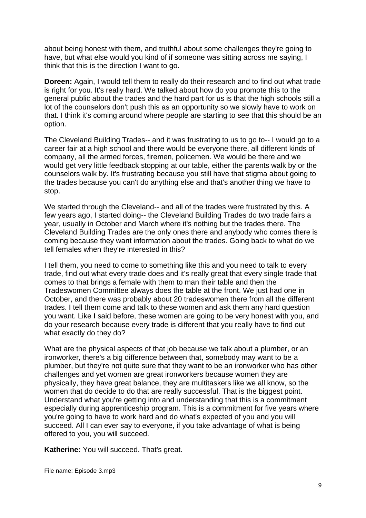about being honest with them, and truthful about some challenges they're going to have, but what else would you kind of if someone was sitting across me saying, I think that this is the direction I want to go.

**Doreen:** Again, I would tell them to really do their research and to find out what trade is right for you. It's really hard. We talked about how do you promote this to the general public about the trades and the hard part for us is that the high schools still a lot of the counselors don't push this as an opportunity so we slowly have to work on that. I think it's coming around where people are starting to see that this should be an option.

The Cleveland Building Trades-- and it was frustrating to us to go to-- I would go to a career fair at a high school and there would be everyone there, all different kinds of company, all the armed forces, firemen, policemen. We would be there and we would get very little feedback stopping at our table, either the parents walk by or the counselors walk by. It's frustrating because you still have that stigma about going to the trades because you can't do anything else and that's another thing we have to stop.

We started through the Cleveland-- and all of the trades were frustrated by this. A few years ago, I started doing-- the Cleveland Building Trades do two trade fairs a year, usually in October and March where it's nothing but the trades there. The Cleveland Building Trades are the only ones there and anybody who comes there is coming because they want information about the trades. Going back to what do we tell females when they're interested in this?

I tell them, you need to come to something like this and you need to talk to every trade, find out what every trade does and it's really great that every single trade that comes to that brings a female with them to man their table and then the Tradeswomen Committee always does the table at the front. We just had one in October, and there was probably about 20 tradeswomen there from all the different trades. I tell them come and talk to these women and ask them any hard question you want. Like I said before, these women are going to be very honest with you, and do your research because every trade is different that you really have to find out what exactly do they do?

What are the physical aspects of that job because we talk about a plumber, or an ironworker, there's a big difference between that, somebody may want to be a plumber, but they're not quite sure that they want to be an ironworker who has other challenges and yet women are great ironworkers because women they are physically, they have great balance, they are multitaskers like we all know, so the women that do decide to do that are really successful. That is the biggest point. Understand what you're getting into and understanding that this is a commitment especially during apprenticeship program. This is a commitment for five years where you're going to have to work hard and do what's expected of you and you will succeed. All I can ever say to everyone, if you take advantage of what is being offered to you, you will succeed.

**Katherine:** You will succeed. That's great.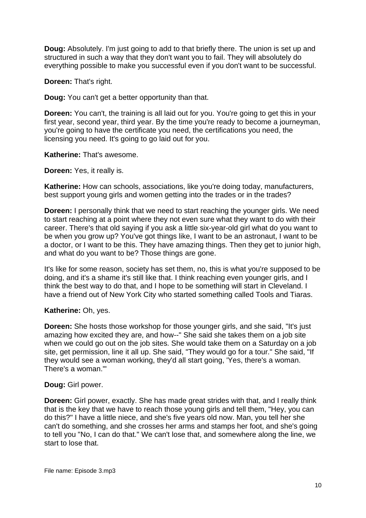**Doug:** Absolutely. I'm just going to add to that briefly there. The union is set up and structured in such a way that they don't want you to fail. They will absolutely do everything possible to make you successful even if you don't want to be successful.

**Doreen:** That's right.

**Doug:** You can't get a better opportunity than that.

**Doreen:** You can't, the training is all laid out for you. You're going to get this in your first year, second year, third year. By the time you're ready to become a journeyman, you're going to have the certificate you need, the certifications you need, the licensing you need. It's going to go laid out for you.

**Katherine:** That's awesome.

**Doreen:** Yes, it really is.

**Katherine:** How can schools, associations, like you're doing today, manufacturers, best support young girls and women getting into the trades or in the trades?

**Doreen:** I personally think that we need to start reaching the younger girls. We need to start reaching at a point where they not even sure what they want to do with their career. There's that old saying if you ask a little six-year-old girl what do you want to be when you grow up? You've got things like, I want to be an astronaut, I want to be a doctor, or I want to be this. They have amazing things. Then they get to junior high, and what do you want to be? Those things are gone.

It's like for some reason, society has set them, no, this is what you're supposed to be doing, and it's a shame it's still like that. I think reaching even younger girls, and I think the best way to do that, and I hope to be something will start in Cleveland. I have a friend out of New York City who started something called Tools and Tiaras.

## **Katherine:** Oh, yes.

**Doreen:** She hosts those workshop for those younger girls, and she said, "It's just amazing how excited they are, and how--" She said she takes them on a job site when we could go out on the job sites. She would take them on a Saturday on a job site, get permission, line it all up. She said, "They would go for a tour." She said, "If they would see a woman working, they'd all start going, 'Yes, there's a woman. There's a woman.'"

#### **Doug:** Girl power.

**Doreen:** Girl power, exactly. She has made great strides with that, and I really think that is the key that we have to reach those young girls and tell them, "Hey, you can do this?" I have a little niece, and she's five years old now. Man, you tell her she can't do something, and she crosses her arms and stamps her foot, and she's going to tell you "No, I can do that." We can't lose that, and somewhere along the line, we start to lose that.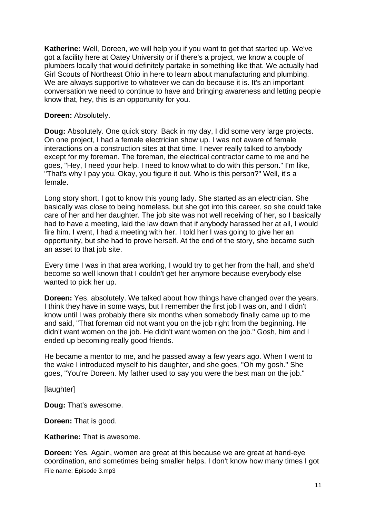**Katherine:** Well, Doreen, we will help you if you want to get that started up. We've got a facility here at Oatey University or if there's a project, we know a couple of plumbers locally that would definitely partake in something like that. We actually had Girl Scouts of Northeast Ohio in here to learn about manufacturing and plumbing. We are always supportive to whatever we can do because it is. It's an important conversation we need to continue to have and bringing awareness and letting people know that, hey, this is an opportunity for you.

#### **Doreen:** Absolutely.

**Doug:** Absolutely. One quick story. Back in my day, I did some very large projects. On one project, I had a female electrician show up. I was not aware of female interactions on a construction sites at that time. I never really talked to anybody except for my foreman. The foreman, the electrical contractor came to me and he goes, "Hey, I need your help. I need to know what to do with this person." I'm like, "That's why I pay you. Okay, you figure it out. Who is this person?" Well, it's a female.

Long story short, I got to know this young lady. She started as an electrician. She basically was close to being homeless, but she got into this career, so she could take care of her and her daughter. The job site was not well receiving of her, so I basically had to have a meeting, laid the law down that if anybody harassed her at all, I would fire him. I went, I had a meeting with her. I told her I was going to give her an opportunity, but she had to prove herself. At the end of the story, she became such an asset to that job site.

Every time I was in that area working, I would try to get her from the hall, and she'd become so well known that I couldn't get her anymore because everybody else wanted to pick her up.

**Doreen:** Yes, absolutely. We talked about how things have changed over the years. I think they have in some ways, but I remember the first job I was on, and I didn't know until I was probably there six months when somebody finally came up to me and said, "That foreman did not want you on the job right from the beginning. He didn't want women on the job. He didn't want women on the job." Gosh, him and I ended up becoming really good friends.

He became a mentor to me, and he passed away a few years ago. When I went to the wake I introduced myself to his daughter, and she goes, "Oh my gosh." She goes, "You're Doreen. My father used to say you were the best man on the job."

[laughter]

**Doug:** That's awesome.

**Doreen:** That is good.

**Katherine:** That is awesome.

File name: Episode 3.mp3 **Doreen:** Yes. Again, women are great at this because we are great at hand-eye coordination, and sometimes being smaller helps. I don't know how many times I got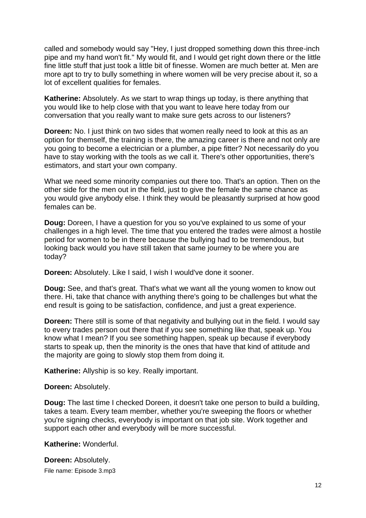called and somebody would say "Hey, I just dropped something down this three-inch pipe and my hand won't fit." My would fit, and I would get right down there or the little fine little stuff that just took a little bit of finesse. Women are much better at. Men are more apt to try to bully something in where women will be very precise about it, so a lot of excellent qualities for females.

**Katherine:** Absolutely. As we start to wrap things up today, is there anything that you would like to help close with that you want to leave here today from our conversation that you really want to make sure gets across to our listeners?

**Doreen:** No. I just think on two sides that women really need to look at this as an option for themself, the training is there, the amazing career is there and not only are you going to become a electrician or a plumber, a pipe fitter? Not necessarily do you have to stay working with the tools as we call it. There's other opportunities, there's estimators, and start your own company.

What we need some minority companies out there too. That's an option. Then on the other side for the men out in the field, just to give the female the same chance as you would give anybody else. I think they would be pleasantly surprised at how good females can be.

**Doug:** Doreen, I have a question for you so you've explained to us some of your challenges in a high level. The time that you entered the trades were almost a hostile period for women to be in there because the bullying had to be tremendous, but looking back would you have still taken that same journey to be where you are today?

**Doreen:** Absolutely. Like I said, I wish I would've done it sooner.

**Doug:** See, and that's great. That's what we want all the young women to know out there. Hi, take that chance with anything there's going to be challenges but what the end result is going to be satisfaction, confidence, and just a great experience.

**Doreen:** There still is some of that negativity and bullying out in the field. I would say to every trades person out there that if you see something like that, speak up. You know what I mean? If you see something happen, speak up because if everybody starts to speak up, then the minority is the ones that have that kind of attitude and the majority are going to slowly stop them from doing it.

**Katherine:** Allyship is so key. Really important.

#### **Doreen:** Absolutely.

**Doug:** The last time I checked Doreen, it doesn't take one person to build a building, takes a team. Every team member, whether you're sweeping the floors or whether you're signing checks, everybody is important on that job site. Work together and support each other and everybody will be more successful.

**Katherine:** Wonderful.

File name: Episode 3.mp3 **Doreen:** Absolutely.